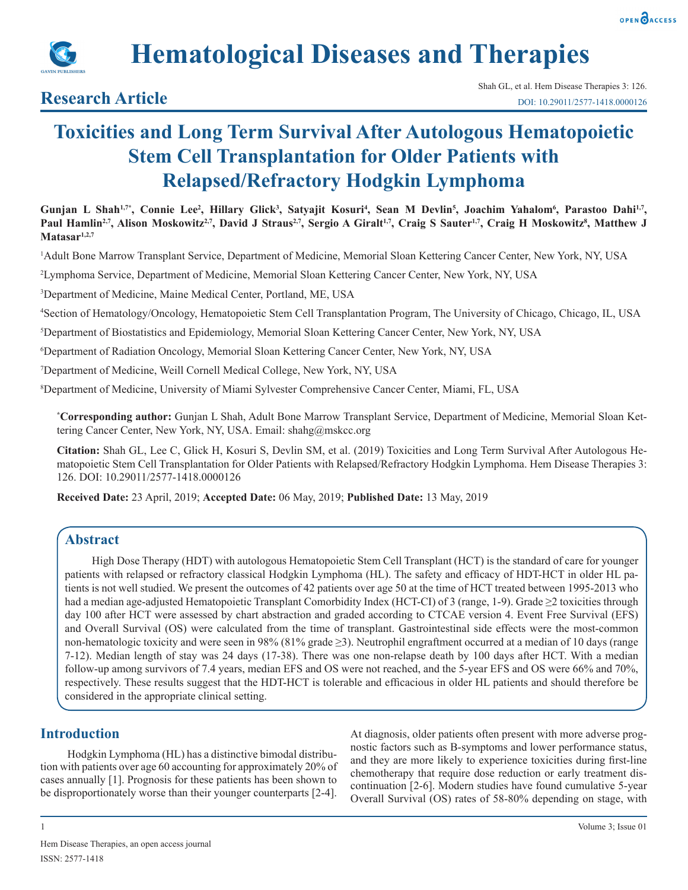



## **Research Article**

# **Toxicities and Long Term Survival After Autologous Hematopoietic Stem Cell Transplantation for Older Patients with Relapsed/Refractory Hodgkin Lymphoma**

Gunjan L Shah<sup>1,7\*</sup>, Connie Lee<sup>2</sup>, Hillary Glick<sup>3</sup>, Satyajit Kosuri<sup>4</sup>, Sean M Devlin<sup>5</sup>, Joachim Yahalom<sup>6</sup>, Parastoo Dahi<sup>1,7</sup>, Paul Hamlin<sup>2,7</sup>, Alison Moskowitz<sup>2,7</sup>, David J Straus<sup>2,7</sup>, Sergio A Giralt<sup>1,7</sup>, Craig S Sauter<sup>1,7</sup>, Craig H Moskowitz<sup>8</sup>, Matthew J **Matasar1,2,7**

1 Adult Bone Marrow Transplant Service, Department of Medicine, Memorial Sloan Kettering Cancer Center, New York, NY, USA

2 Lymphoma Service, Department of Medicine, Memorial Sloan Kettering Cancer Center, New York, NY, USA

3 Department of Medicine, Maine Medical Center, Portland, ME, USA

4 Section of Hematology/Oncology, Hematopoietic Stem Cell Transplantation Program, The University of Chicago, Chicago, IL, USA

5 Department of Biostatistics and Epidemiology, Memorial Sloan Kettering Cancer Center, New York, NY, USA

6 Department of Radiation Oncology, Memorial Sloan Kettering Cancer Center, New York, NY, USA

7 Department of Medicine, Weill Cornell Medical College, New York, NY, USA

8 Department of Medicine, University of Miami Sylvester Comprehensive Cancer Center, Miami, FL, USA

**\* Corresponding author:** Gunjan L Shah, Adult Bone Marrow Transplant Service, Department of Medicine, Memorial Sloan Kettering Cancer Center, New York, NY, USA. Email: shahg@mskcc.org

**Citation:** Shah GL, Lee C, Glick H, Kosuri S, Devlin SM, et al. (2019) Toxicities and Long Term Survival After Autologous Hematopoietic Stem Cell Transplantation for Older Patients with Relapsed/Refractory Hodgkin Lymphoma. Hem Disease Therapies 3: 126. DOI: 10.29011/2577-1418.0000126

**Received Date:** 23 April, 2019; **Accepted Date:** 06 May, 2019; **Published Date:** 13 May, 2019

## **Abstract**

High Dose Therapy (HDT) with autologous Hematopoietic Stem Cell Transplant (HCT) is the standard of care for younger patients with relapsed or refractory classical Hodgkin Lymphoma (HL). The safety and efficacy of HDT-HCT in older HL patients is not well studied. We present the outcomes of 42 patients over age 50 at the time of HCT treated between 1995-2013 who had a median age-adjusted Hematopoietic Transplant Comorbidity Index (HCT-CI) of 3 (range, 1-9). Grade ≥2 toxicities through day 100 after HCT were assessed by chart abstraction and graded according to CTCAE version 4. Event Free Survival (EFS) and Overall Survival (OS) were calculated from the time of transplant. Gastrointestinal side effects were the most-common non-hematologic toxicity and were seen in 98% (81% grade ≥3). Neutrophil engraftment occurred at a median of 10 days (range 7-12). Median length of stay was 24 days (17-38). There was one non-relapse death by 100 days after HCT. With a median follow-up among survivors of 7.4 years, median EFS and OS were not reached, and the 5-year EFS and OS were 66% and 70%, respectively. These results suggest that the HDT-HCT is tolerable and efficacious in older HL patients and should therefore be considered in the appropriate clinical setting.

## **Introduction**

Hodgkin Lymphoma (HL) has a distinctive bimodal distribution with patients over age 60 accounting for approximately 20% of cases annually [1]. Prognosis for these patients has been shown to be disproportionately worse than their younger counterparts [2-4].

At diagnosis, older patients often present with more adverse prognostic factors such as B-symptoms and lower performance status, and they are more likely to experience toxicities during first-line chemotherapy that require dose reduction or early treatment discontinuation [2-6]. Modern studies have found cumulative 5-year Overall Survival (OS) rates of 58-80% depending on stage, with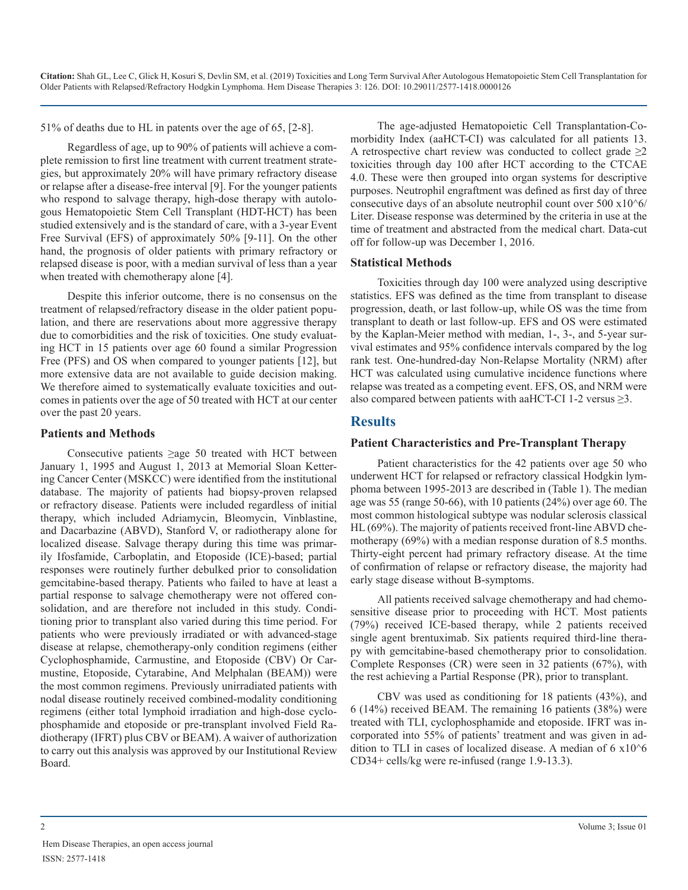51% of deaths due to HL in patents over the age of 65, [2-8].

Regardless of age, up to 90% of patients will achieve a complete remission to first line treatment with current treatment strategies, but approximately 20% will have primary refractory disease or relapse after a disease-free interval [9]. For the younger patients who respond to salvage therapy, high-dose therapy with autologous Hematopoietic Stem Cell Transplant (HDT-HCT) has been studied extensively and is the standard of care, with a 3-year Event Free Survival (EFS) of approximately 50% [9-11]. On the other hand, the prognosis of older patients with primary refractory or relapsed disease is poor, with a median survival of less than a year when treated with chemotherapy alone [4].

Despite this inferior outcome, there is no consensus on the treatment of relapsed/refractory disease in the older patient population, and there are reservations about more aggressive therapy due to comorbidities and the risk of toxicities. One study evaluating HCT in 15 patients over age 60 found a similar Progression Free (PFS) and OS when compared to younger patients [12], but more extensive data are not available to guide decision making. We therefore aimed to systematically evaluate toxicities and outcomes in patients over the age of 50 treated with HCT at our center over the past 20 years.

#### **Patients and Methods**

Consecutive patients ≥age 50 treated with HCT between January 1, 1995 and August 1, 2013 at Memorial Sloan Kettering Cancer Center (MSKCC) were identified from the institutional database. The majority of patients had biopsy-proven relapsed or refractory disease. Patients were included regardless of initial therapy, which included Adriamycin, Bleomycin, Vinblastine, and Dacarbazine (ABVD), Stanford V, or radiotherapy alone for localized disease. Salvage therapy during this time was primarily Ifosfamide, Carboplatin, and Etoposide (ICE)-based; partial responses were routinely further debulked prior to consolidation gemcitabine-based therapy. Patients who failed to have at least a partial response to salvage chemotherapy were not offered consolidation, and are therefore not included in this study. Conditioning prior to transplant also varied during this time period. For patients who were previously irradiated or with advanced-stage disease at relapse, chemotherapy-only condition regimens (either Cyclophosphamide, Carmustine, and Etoposide (CBV) Or Carmustine, Etoposide, Cytarabine, And Melphalan (BEAM)) were the most common regimens. Previously unirradiated patients with nodal disease routinely received combined-modality conditioning regimens (either total lymphoid irradiation and high-dose cyclophosphamide and etoposide or pre-transplant involved Field Radiotherapy (IFRT) plus CBV or BEAM). A waiver of authorization to carry out this analysis was approved by our Institutional Review Board.

The age-adjusted Hematopoietic Cell Transplantation-Comorbidity Index (aaHCT-CI) was calculated for all patients 13. A retrospective chart review was conducted to collect grade  $\geq 2$ toxicities through day 100 after HCT according to the CTCAE 4.0. These were then grouped into organ systems for descriptive purposes. Neutrophil engraftment was defined as first day of three consecutive days of an absolute neutrophil count over 500 x10^6/ Liter. Disease response was determined by the criteria in use at the time of treatment and abstracted from the medical chart. Data-cut off for follow-up was December 1, 2016.

#### **Statistical Methods**

Toxicities through day 100 were analyzed using descriptive statistics. EFS was defined as the time from transplant to disease progression, death, or last follow-up, while OS was the time from transplant to death or last follow-up. EFS and OS were estimated by the Kaplan-Meier method with median, 1-, 3-, and 5-year survival estimates and 95% confidence intervals compared by the log rank test. One-hundred-day Non-Relapse Mortality (NRM) after HCT was calculated using cumulative incidence functions where relapse was treated as a competing event. EFS, OS, and NRM were also compared between patients with aaHCT-CI 1-2 versus  $\geq$ 3.

### **Results**

#### **Patient Characteristics and Pre-Transplant Therapy**

Patient characteristics for the 42 patients over age 50 who underwent HCT for relapsed or refractory classical Hodgkin lymphoma between 1995-2013 are described in (Table 1). The median age was 55 (range 50-66), with 10 patients (24%) over age 60. The most common histological subtype was nodular sclerosis classical HL (69%). The majority of patients received front-line ABVD chemotherapy (69%) with a median response duration of 8.5 months. Thirty-eight percent had primary refractory disease. At the time of confirmation of relapse or refractory disease, the majority had early stage disease without B-symptoms.

All patients received salvage chemotherapy and had chemosensitive disease prior to proceeding with HCT. Most patients (79%) received ICE-based therapy, while 2 patients received single agent brentuximab. Six patients required third-line therapy with gemcitabine-based chemotherapy prior to consolidation. Complete Responses (CR) were seen in 32 patients (67%), with the rest achieving a Partial Response (PR), prior to transplant.

CBV was used as conditioning for 18 patients (43%), and 6 (14%) received BEAM. The remaining 16 patients (38%) were treated with TLI, cyclophosphamide and etoposide. IFRT was incorporated into 55% of patients' treatment and was given in addition to TLI in cases of localized disease. A median of 6 x10^6 CD34+ cells/kg were re-infused (range 1.9-13.3).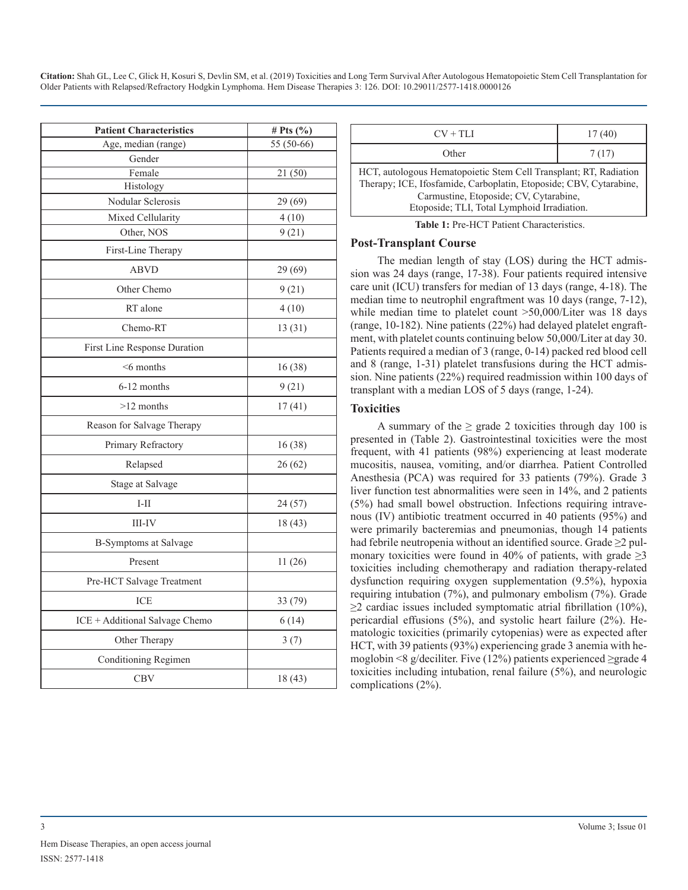| <b>Patient Characteristics</b> | # Pts $(\%$ |  |
|--------------------------------|-------------|--|
| Age, median (range)            | 55 (50-66)  |  |
| Gender                         |             |  |
| Female                         | 21(50)      |  |
| Histology                      |             |  |
| Nodular Sclerosis              | 29 (69)     |  |
| Mixed Cellularity              | 4(10)       |  |
| Other, NOS                     | 9(21)       |  |
| First-Line Therapy             |             |  |
| <b>ABVD</b>                    | 29 (69)     |  |
| Other Chemo                    | 9(21)       |  |
| RT alone                       | 4(10)       |  |
| Chemo-RT                       | 13 (31)     |  |
| First Line Response Duration   |             |  |
| $<$ 6 months                   | 16(38)      |  |
| 6-12 months                    | 9(21)       |  |
| $>12$ months                   | 17(41)      |  |
| Reason for Salvage Therapy     |             |  |
| Primary Refractory             | 16(38)      |  |
| Relapsed                       | 26(62)      |  |
| Stage at Salvage               |             |  |
| $I-II$                         | 24 (57)     |  |
| III-IV                         | 18 (43)     |  |
| <b>B-Symptoms at Salvage</b>   |             |  |
| Present                        | 11(26)      |  |
| Pre-HCT Salvage Treatment      |             |  |
| ICE                            | 33 (79)     |  |
| ICE + Additional Salvage Chemo | 6(14)       |  |
| Other Therapy                  | 3(7)        |  |
| Conditioning Regimen           |             |  |
| <b>CBV</b>                     | 18(43)      |  |

| $CV + TLI$                                                                                                                                                                                                                       | 17(40) |  |  |
|----------------------------------------------------------------------------------------------------------------------------------------------------------------------------------------------------------------------------------|--------|--|--|
| Other                                                                                                                                                                                                                            | 7(17)  |  |  |
| HCT, autologous Hematopoietic Stem Cell Transplant; RT, Radiation<br>Therapy; ICE, Ifosfamide, Carboplatin, Etoposide; CBV, Cytarabine,<br>Carmustine, Etoposide; CV, Cytarabine,<br>Etoposide; TLI, Total Lymphoid Irradiation. |        |  |  |
| $\mathbf{m}$ ii 4 $\mathbf{n}$ . It $\alpha\mathbf{m}$ is $\alpha\mathbf{1}$ . It $\alpha\mathbf{1}$                                                                                                                             |        |  |  |

**Table 1:** Pre-HCT Patient Characteristics.

#### **Post-Transplant Course**

The median length of stay (LOS) during the HCT admission was 24 days (range, 17-38). Four patients required intensive care unit (ICU) transfers for median of 13 days (range, 4-18). The median time to neutrophil engraftment was 10 days (range, 7-12), while median time to platelet count >50,000/Liter was 18 days (range, 10-182). Nine patients (22%) had delayed platelet engraftment, with platelet counts continuing below 50,000/Liter at day 30. Patients required a median of 3 (range, 0-14) packed red blood cell and 8 (range, 1-31) platelet transfusions during the HCT admission. Nine patients (22%) required readmission within 100 days of transplant with a median LOS of 5 days (range, 1-24).

#### **Toxicities**

A summary of the  $\geq$  grade 2 toxicities through day 100 is presented in (Table 2). Gastrointestinal toxicities were the most frequent, with 41 patients (98%) experiencing at least moderate mucositis, nausea, vomiting, and/or diarrhea. Patient Controlled Anesthesia (PCA) was required for 33 patients (79%). Grade 3 liver function test abnormalities were seen in 14%, and 2 patients (5%) had small bowel obstruction. Infections requiring intravenous (IV) antibiotic treatment occurred in 40 patients (95%) and were primarily bacteremias and pneumonias, though 14 patients had febrile neutropenia without an identified source. Grade ≥2 pulmonary toxicities were found in 40% of patients, with grade  $\geq$ 3 toxicities including chemotherapy and radiation therapy-related dysfunction requiring oxygen supplementation (9.5%), hypoxia requiring intubation (7%), and pulmonary embolism (7%). Grade  $\geq$ 2 cardiac issues included symptomatic atrial fibrillation (10%), pericardial effusions (5%), and systolic heart failure (2%). Hematologic toxicities (primarily cytopenias) were as expected after HCT, with 39 patients (93%) experiencing grade 3 anemia with hemoglobin <8 g/deciliter. Five (12%) patients experienced ≥grade 4 toxicities including intubation, renal failure (5%), and neurologic complications (2%).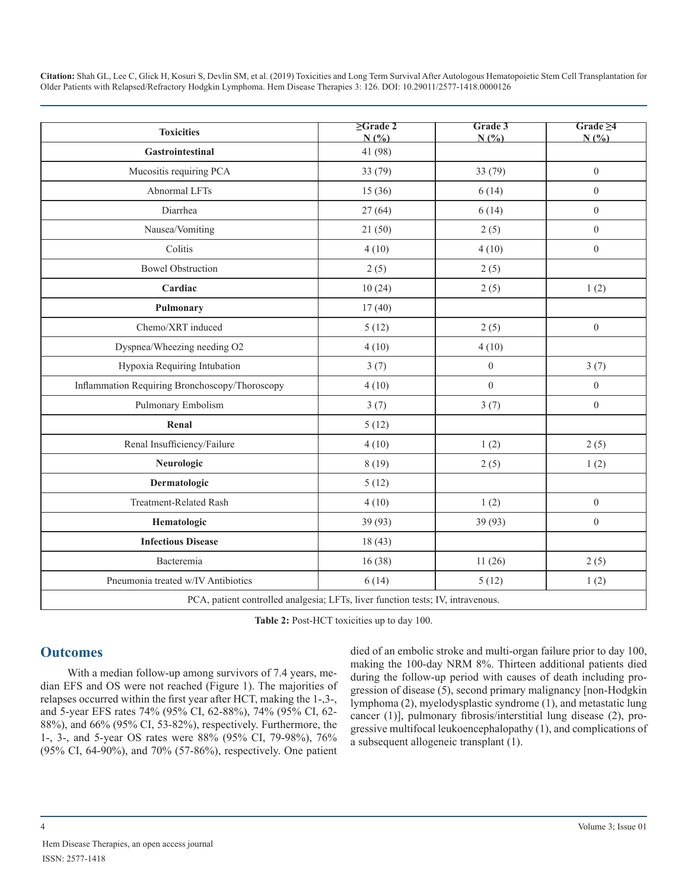| <b>Toxicities</b>                                                               | $\geq$ Grade 2<br>N(%) | Grade 3<br>N(%   | Grade $\geq 4$<br>N(%) |  |
|---------------------------------------------------------------------------------|------------------------|------------------|------------------------|--|
| Gastrointestinal                                                                | 41 (98)                |                  |                        |  |
| Mucositis requiring PCA                                                         | 33 (79)                | 33 (79)          | $\boldsymbol{0}$       |  |
| Abnormal LFTs                                                                   | 15(36)                 | 6(14)            | $\boldsymbol{0}$       |  |
| Diarrhea                                                                        | 27(64)                 | 6(14)            | $\theta$               |  |
| Nausea/Vomiting                                                                 | 21(50)                 | 2(5)             | $\boldsymbol{0}$       |  |
| Colitis                                                                         | 4(10)                  | 4(10)            | $\theta$               |  |
| <b>Bowel Obstruction</b>                                                        | 2(5)                   | 2(5)             |                        |  |
| Cardiac                                                                         | 10(24)                 | 2(5)             | 1(2)                   |  |
| Pulmonary                                                                       | 17(40)                 |                  |                        |  |
| Chemo/XRT induced                                                               | 5(12)                  | 2(5)             | $\theta$               |  |
| Dyspnea/Wheezing needing O2                                                     | 4(10)                  | 4(10)            |                        |  |
| Hypoxia Requiring Intubation                                                    | 3(7)                   | $\boldsymbol{0}$ | 3(7)                   |  |
| Inflammation Requiring Bronchoscopy/Thoroscopy                                  | 4(10)                  | $\boldsymbol{0}$ | $\boldsymbol{0}$       |  |
| Pulmonary Embolism                                                              | 3(7)                   | 3(7)             | $\theta$               |  |
| Renal                                                                           | 5(12)                  |                  |                        |  |
| Renal Insufficiency/Failure                                                     | 4(10)                  | 1(2)             | 2(5)                   |  |
| Neurologic                                                                      | 8(19)                  | 2(5)             | 1(2)                   |  |
| Dermatologic                                                                    | 5(12)                  |                  |                        |  |
| <b>Treatment-Related Rash</b>                                                   | 4(10)                  | 1(2)             | $\boldsymbol{0}$       |  |
| Hematologic                                                                     | 39 (93)                | 39 (93)          | $\boldsymbol{0}$       |  |
| <b>Infectious Disease</b>                                                       | 18(43)                 |                  |                        |  |
| Bacteremia                                                                      | 16(38)                 | 11(26)           | 2(5)                   |  |
| Pneumonia treated w/IV Antibiotics                                              | 6(14)                  | 5(12)            | 1(2)                   |  |
| PCA, patient controlled analgesia; LFTs, liver function tests; IV, intravenous. |                        |                  |                        |  |

**Table 2:** Post-HCT toxicities up to day 100.

## **Outcomes**

With a median follow-up among survivors of 7.4 years, median EFS and OS were not reached (Figure 1). The majorities of relapses occurred within the first year after HCT, making the 1-,3-, and 5-year EFS rates 74% (95% CI, 62-88%), 74% (95% CI, 62- 88%), and 66% (95% CI, 53-82%), respectively. Furthermore, the 1-, 3-, and 5-year OS rates were 88% (95% CI, 79-98%), 76% (95% CI, 64-90%), and 70% (57-86%), respectively. One patient

died of an embolic stroke and multi-organ failure prior to day 100, making the 100-day NRM 8%. Thirteen additional patients died during the follow-up period with causes of death including progression of disease (5), second primary malignancy [non-Hodgkin lymphoma (2), myelodysplastic syndrome (1), and metastatic lung cancer (1)], pulmonary fibrosis/interstitial lung disease (2), progressive multifocal leukoencephalopathy (1), and complications of a subsequent allogeneic transplant (1).

Hem Disease Therapies, an open access journal ISSN: 2577-1418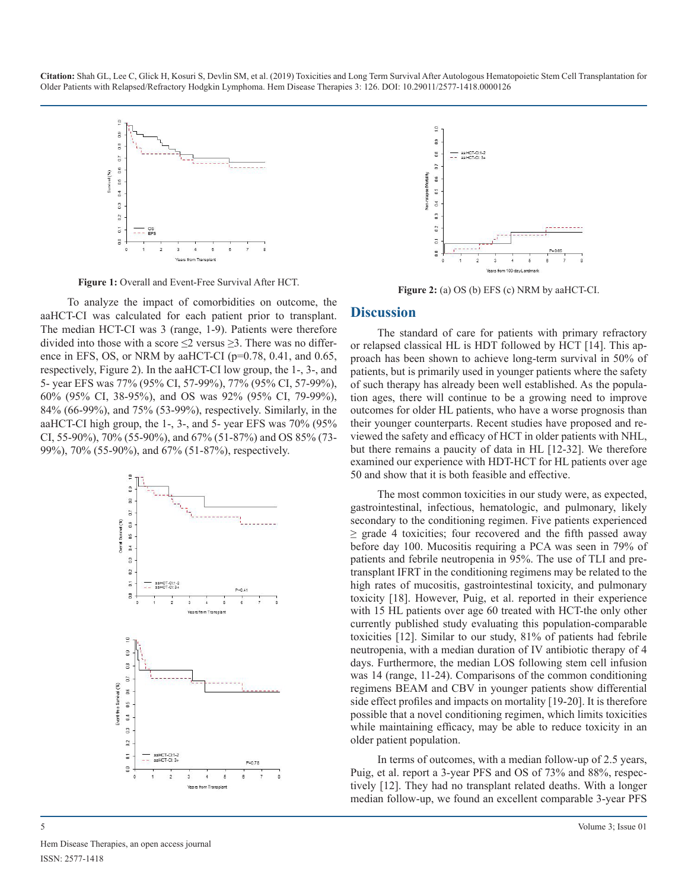

**Figure 1:** Overall and Event-Free Survival After HCT.

To analyze the impact of comorbidities on outcome, the aaHCT-CI was calculated for each patient prior to transplant. The median HCT-CI was 3 (range, 1-9). Patients were therefore divided into those with a score  $\leq$  versus  $\geq$  3. There was no difference in EFS, OS, or NRM by aaHCT-CI (p=0.78, 0.41, and 0.65, respectively, Figure 2). In the aaHCT-CI low group, the 1-, 3-, and 5- year EFS was 77% (95% CI, 57-99%), 77% (95% CI, 57-99%), 60% (95% CI, 38-95%), and OS was 92% (95% CI, 79-99%), 84% (66-99%), and 75% (53-99%), respectively. Similarly, in the aaHCT-CI high group, the 1-, 3-, and 5- year EFS was 70% (95% CI, 55-90%), 70% (55-90%), and 67% (51-87%) and OS 85% (73- 99%), 70% (55-90%), and 67% (51-87%), respectively.





**Figure 2:** (a) OS (b) EFS (c) NRM by aaHCT-CI.

#### **Discussion**

The standard of care for patients with primary refractory or relapsed classical HL is HDT followed by HCT [14]. This approach has been shown to achieve long-term survival in 50% of patients, but is primarily used in younger patients where the safety of such therapy has already been well established. As the population ages, there will continue to be a growing need to improve outcomes for older HL patients, who have a worse prognosis than their younger counterparts. Recent studies have proposed and reviewed the safety and efficacy of HCT in older patients with NHL, but there remains a paucity of data in HL [12-32]. We therefore examined our experience with HDT-HCT for HL patients over age 50 and show that it is both feasible and effective.

The most common toxicities in our study were, as expected, gastrointestinal, infectious, hematologic, and pulmonary, likely secondary to the conditioning regimen. Five patients experienced  $\geq$  grade 4 toxicities; four recovered and the fifth passed away before day 100. Mucositis requiring a PCA was seen in 79% of patients and febrile neutropenia in 95%. The use of TLI and pretransplant IFRT in the conditioning regimens may be related to the high rates of mucositis, gastrointestinal toxicity, and pulmonary toxicity [18]. However, Puig, et al. reported in their experience with 15 HL patients over age 60 treated with HCT-the only other currently published study evaluating this population-comparable toxicities [12]. Similar to our study, 81% of patients had febrile neutropenia, with a median duration of IV antibiotic therapy of 4 days. Furthermore, the median LOS following stem cell infusion was 14 (range, 11-24). Comparisons of the common conditioning regimens BEAM and CBV in younger patients show differential side effect profiles and impacts on mortality [19-20]. It is therefore possible that a novel conditioning regimen, which limits toxicities while maintaining efficacy, may be able to reduce toxicity in an older patient population.

In terms of outcomes, with a median follow-up of 2.5 years, Puig, et al. report a 3-year PFS and OS of 73% and 88%, respectively [12]. They had no transplant related deaths. With a longer median follow-up, we found an excellent comparable 3-year PFS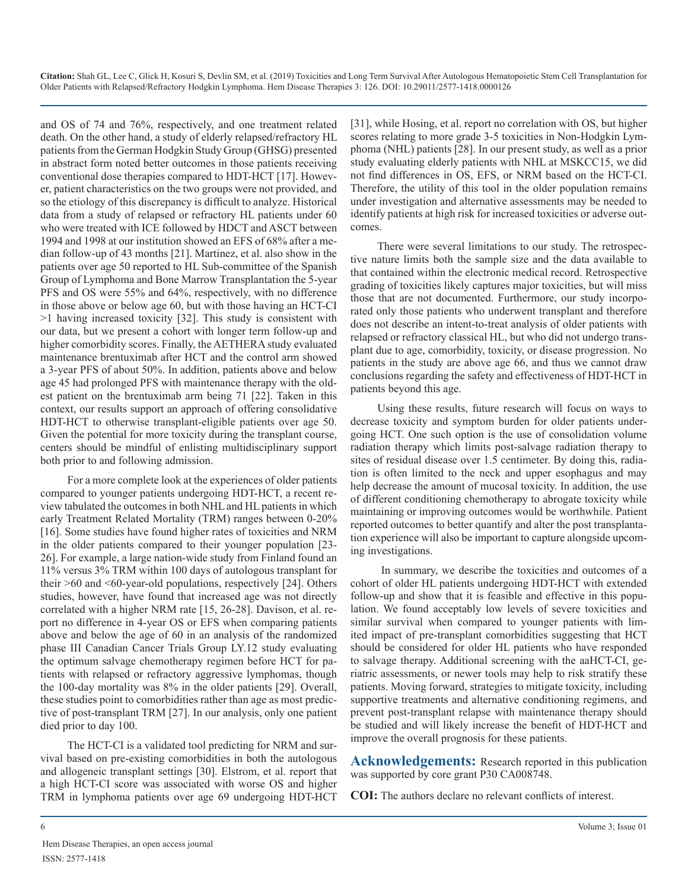and OS of 74 and 76%, respectively, and one treatment related death. On the other hand, a study of elderly relapsed/refractory HL patients from the German Hodgkin Study Group (GHSG) presented in abstract form noted better outcomes in those patients receiving conventional dose therapies compared to HDT-HCT [17]. However, patient characteristics on the two groups were not provided, and so the etiology of this discrepancy is difficult to analyze. Historical data from a study of relapsed or refractory HL patients under 60 who were treated with ICE followed by HDCT and ASCT between 1994 and 1998 at our institution showed an EFS of 68% after a median follow-up of 43 months [21]. Martinez, et al. also show in the patients over age 50 reported to HL Sub-committee of the Spanish Group of Lymphoma and Bone Marrow Transplantation the 5-year PFS and OS were 55% and 64%, respectively, with no difference in those above or below age 60, but with those having an HCT-CI >1 having increased toxicity [32]. This study is consistent with our data, but we present a cohort with longer term follow-up and higher comorbidity scores. Finally, the AETHERA study evaluated maintenance brentuximab after HCT and the control arm showed a 3-year PFS of about 50%. In addition, patients above and below age 45 had prolonged PFS with maintenance therapy with the oldest patient on the brentuximab arm being 71 [22]. Taken in this context, our results support an approach of offering consolidative HDT-HCT to otherwise transplant-eligible patients over age 50. Given the potential for more toxicity during the transplant course, centers should be mindful of enlisting multidisciplinary support both prior to and following admission.

For a more complete look at the experiences of older patients compared to younger patients undergoing HDT-HCT, a recent review tabulated the outcomes in both NHL and HL patients in which early Treatment Related Mortality (TRM) ranges between 0-20% [16]. Some studies have found higher rates of toxicities and NRM in the older patients compared to their younger population [23- 26]. For example, a large nation-wide study from Finland found an 11% versus 3% TRM within 100 days of autologous transplant for their  $>60$  and  $< 60$ -year-old populations, respectively [24]. Others studies, however, have found that increased age was not directly correlated with a higher NRM rate [15, 26-28]. Davison, et al. report no difference in 4-year OS or EFS when comparing patients above and below the age of 60 in an analysis of the randomized phase III Canadian Cancer Trials Group LY.12 study evaluating the optimum salvage chemotherapy regimen before HCT for patients with relapsed or refractory aggressive lymphomas, though the 100-day mortality was 8% in the older patients [29]. Overall, these studies point to comorbidities rather than age as most predictive of post-transplant TRM [27]. In our analysis, only one patient died prior to day 100.

The HCT-CI is a validated tool predicting for NRM and survival based on pre-existing comorbidities in both the autologous and allogeneic transplant settings [30]. Elstrom, et al. report that a high HCT-CI score was associated with worse OS and higher TRM in lymphoma patients over age 69 undergoing HDT-HCT

[31], while Hosing, et al. report no correlation with OS, but higher scores relating to more grade 3-5 toxicities in Non-Hodgkin Lymphoma (NHL) patients [28]. In our present study, as well as a prior study evaluating elderly patients with NHL at MSKCC15, we did not find differences in OS, EFS, or NRM based on the HCT-CI. Therefore, the utility of this tool in the older population remains under investigation and alternative assessments may be needed to identify patients at high risk for increased toxicities or adverse outcomes.

There were several limitations to our study. The retrospective nature limits both the sample size and the data available to that contained within the electronic medical record. Retrospective grading of toxicities likely captures major toxicities, but will miss those that are not documented. Furthermore, our study incorporated only those patients who underwent transplant and therefore does not describe an intent-to-treat analysis of older patients with relapsed or refractory classical HL, but who did not undergo transplant due to age, comorbidity, toxicity, or disease progression. No patients in the study are above age 66, and thus we cannot draw conclusions regarding the safety and effectiveness of HDT-HCT in patients beyond this age.

Using these results, future research will focus on ways to decrease toxicity and symptom burden for older patients undergoing HCT. One such option is the use of consolidation volume radiation therapy which limits post-salvage radiation therapy to sites of residual disease over 1.5 centimeter. By doing this, radiation is often limited to the neck and upper esophagus and may help decrease the amount of mucosal toxicity. In addition, the use of different conditioning chemotherapy to abrogate toxicity while maintaining or improving outcomes would be worthwhile. Patient reported outcomes to better quantify and alter the post transplantation experience will also be important to capture alongside upcoming investigations.

 In summary, we describe the toxicities and outcomes of a cohort of older HL patients undergoing HDT-HCT with extended follow-up and show that it is feasible and effective in this population. We found acceptably low levels of severe toxicities and similar survival when compared to younger patients with limited impact of pre-transplant comorbidities suggesting that HCT should be considered for older HL patients who have responded to salvage therapy. Additional screening with the aaHCT-CI, geriatric assessments, or newer tools may help to risk stratify these patients. Moving forward, strategies to mitigate toxicity, including supportive treatments and alternative conditioning regimens, and prevent post-transplant relapse with maintenance therapy should be studied and will likely increase the benefit of HDT-HCT and improve the overall prognosis for these patients.

**Acknowledgements:** Research reported in this publication was supported by core grant P30 CA008748.

**COI:** The authors declare no relevant conflicts of interest.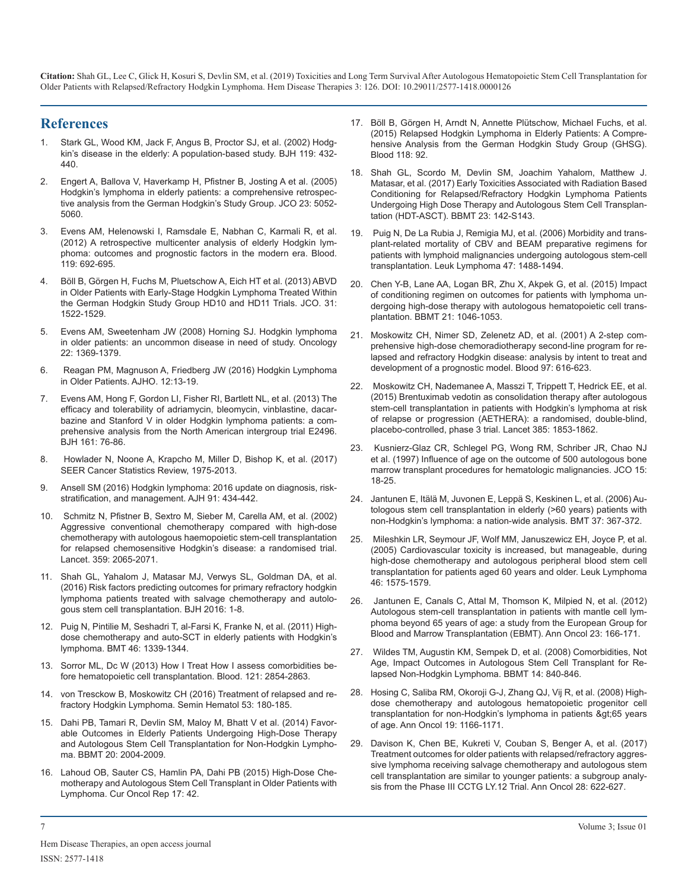## **References**

- 1. [Stark GL, Wood KM, Jack F, Angus B, Proctor SJ, et al. \(2002\) Hodg](https://www.ncbi.nlm.nih.gov/pubmed/12406082)[kin's disease in the elderly: A population-based study. BJH 119: 432-](https://www.ncbi.nlm.nih.gov/pubmed/12406082) [440.](https://www.ncbi.nlm.nih.gov/pubmed/12406082)
- 2. [Engert A, Ballova V, Haverkamp H, Pfistner B, Josting A et al. \(2005\)](https://www.ncbi.nlm.nih.gov/pubmed/15955904) [Hodgkin's lymphoma in elderly patients: a comprehensive retrospec](https://www.ncbi.nlm.nih.gov/pubmed/15955904)[tive analysis from the German Hodgkin's Study Group. JCO 23: 5052-](https://www.ncbi.nlm.nih.gov/pubmed/15955904) [5060](https://www.ncbi.nlm.nih.gov/pubmed/15955904).
- 3. [Evens AM, Helenowski I, Ramsdale E, Nabhan C, Karmali R, et al.](https://www.ncbi.nlm.nih.gov/pubmed/22117038)  [\(2012\) A retrospective multicenter analysis of elderly Hodgkin lym](https://www.ncbi.nlm.nih.gov/pubmed/22117038)[phoma: outcomes and prognostic factors in the modern era. Blood.](https://www.ncbi.nlm.nih.gov/pubmed/22117038)  [119: 692-695](https://www.ncbi.nlm.nih.gov/pubmed/22117038).
- 4. [Böll B, Görgen H, Fuchs M, Pluetschow A, Eich HT et al. \(2013\) ABVD](https://www.ncbi.nlm.nih.gov/pubmed/23509310)  [in Older Patients with Early-Stage Hodgkin Lymphoma Treated Within](https://www.ncbi.nlm.nih.gov/pubmed/23509310) [the German Hodgkin Study Group HD10 and HD11 Trials. JCO. 31:](https://www.ncbi.nlm.nih.gov/pubmed/23509310)  [1522-1529](https://www.ncbi.nlm.nih.gov/pubmed/23509310).
- 5. [Evens AM, Sweetenham JW \(2008\) Horning SJ. Hodgkin lymphoma](https://www.ncbi.nlm.nih.gov/pubmed/19086599)  [in older patients: an uncommon disease in need of study. Oncology](https://www.ncbi.nlm.nih.gov/pubmed/19086599)  [22: 1369-1379](https://www.ncbi.nlm.nih.gov/pubmed/19086599).
- 6. [Reagan PM, Magnuson A, Friedberg JW \(2016\) Hodgkin Lymphoma](https://www.ncbi.nlm.nih.gov/pubmed/29994901)  [in Older Patients. AJHO. 12:13-19.](https://www.ncbi.nlm.nih.gov/pubmed/29994901)
- 7. [Evens AM, Hong F, Gordon LI, Fisher RI, Bartlett NL, et al. \(2013\) The](https://www.ncbi.nlm.nih.gov/pubmed/23356491) [efficacy and tolerability of adriamycin, bleomycin, vinblastine, dacar](https://www.ncbi.nlm.nih.gov/pubmed/23356491)[bazine and Stanford V in older Hodgkin lymphoma patients: a com](https://www.ncbi.nlm.nih.gov/pubmed/23356491)[prehensive analysis from the North American intergroup trial E2496.](https://www.ncbi.nlm.nih.gov/pubmed/23356491)  [BJH 161: 76-86](https://www.ncbi.nlm.nih.gov/pubmed/23356491).
- 8. [Howlader N, Noone A, Krapcho M, Miller D, Bishop K, et al. \(2017\)](https://seer.cancer.gov/archive/csr/1975_2013/#sthash.UgkMcBA3.dpuf.)  [SEER Cancer Statistics Review, 1975-2013](https://seer.cancer.gov/archive/csr/1975_2013/#sthash.UgkMcBA3.dpuf.).
- 9. [Ansell SM \(2016\) Hodgkin lymphoma: 2016 update on diagnosis, risk](https://www.ncbi.nlm.nih.gov/pubmed/27001163)[stratification, and management. AJH 91: 434-442](https://www.ncbi.nlm.nih.gov/pubmed/27001163).
- 10. [Schmitz N, Pfistner B, Sextro M, Sieber M, Carella AM, et al. \(2002\)](https://www.ncbi.nlm.nih.gov/pubmed/12086759)  [Aggressive conventional chemotherapy compared with high-dose](https://www.ncbi.nlm.nih.gov/pubmed/12086759)  [chemotherapy with autologous haemopoietic stem-cell transplantation](https://www.ncbi.nlm.nih.gov/pubmed/12086759)  [for relapsed chemosensitive Hodgkin's disease: a randomised trial.](https://www.ncbi.nlm.nih.gov/pubmed/12086759)  [Lancet. 359: 2065-2071](https://www.ncbi.nlm.nih.gov/pubmed/12086759).
- 11. [Shah GL, Yahalom J, Matasar MJ, Verwys SL, Goldman DA, et al.](https://www.ncbi.nlm.nih.gov/pubmed/27377168) [\(2016\) Risk factors predicting outcomes for primary refractory hodgkin](https://www.ncbi.nlm.nih.gov/pubmed/27377168)  [lymphoma patients treated with salvage chemotherapy and autolo](https://www.ncbi.nlm.nih.gov/pubmed/27377168)[gous stem cell transplantation. BJH 2016: 1-8](https://www.ncbi.nlm.nih.gov/pubmed/27377168).
- 12. [Puig N, Pintilie M, Seshadri T, al-Farsi K, Franke N, et al. \(2011\) High](https://www.ncbi.nlm.nih.gov/pubmed/21243027)[dose chemotherapy and auto-SCT in elderly patients with Hodgkin's](https://www.ncbi.nlm.nih.gov/pubmed/21243027)  [lymphoma. BMT 46: 1339-1344](https://www.ncbi.nlm.nih.gov/pubmed/21243027).
- 13. [Sorror ML, Dc W \(2013\) How I Treat How I assess comorbidities be](http://www.bloodjournal.org/content/121/15/2854?sso-checked=true)[fore hematopoietic cell transplantation. Blood. 121: 2854-2863](http://www.bloodjournal.org/content/121/15/2854?sso-checked=true).
- 14. [von Tresckow B, Moskowitz CH \(2016\) Treatment of relapsed and re](https://www.ncbi.nlm.nih.gov/pubmed/27496309)[fractory Hodgkin Lymphoma. Semin Hematol 53: 180-185](https://www.ncbi.nlm.nih.gov/pubmed/27496309).
- 15. [Dahi PB, Tamari R, Devlin SM, Maloy M, Bhatt V et al. \(2014\) Favor](https://www.ncbi.nlm.nih.gov/pubmed/25175794)[able Outcomes in Elderly Patients Undergoing High-Dose Therapy](https://www.ncbi.nlm.nih.gov/pubmed/25175794)  [and Autologous Stem Cell Transplantation for Non-Hodgkin Lympho](https://www.ncbi.nlm.nih.gov/pubmed/25175794)[ma. BBMT 20: 2004-2009.](https://www.ncbi.nlm.nih.gov/pubmed/25175794)
- 16. [Lahoud OB, Sauter CS, Hamlin PA, Dahi PB \(2015\) High-Dose Che](https://www.ncbi.nlm.nih.gov/pubmed/26201264)[motherapy and Autologous Stem Cell Transplant in Older Patients with](https://www.ncbi.nlm.nih.gov/pubmed/26201264)  [Lymphoma. Cur Oncol Rep 17: 42](https://www.ncbi.nlm.nih.gov/pubmed/26201264).
- 17. [Böll B, Görgen H, Arndt N, Annette Plütschow, Michael Fuchs, et al.](https://ascopubs.org/doi/full/10.1200/JCO.2013.49.8246) [\(2015\) Relapsed Hodgkin Lymphoma in Elderly Patients: A Compre](https://ascopubs.org/doi/full/10.1200/JCO.2013.49.8246)[hensive Analysis from the German Hodgkin Study Group \(GHSG\).](https://ascopubs.org/doi/full/10.1200/JCO.2013.49.8246)  [Blood 118: 92.](https://ascopubs.org/doi/full/10.1200/JCO.2013.49.8246)
- 18. [Shah GL, Scordo M, Devlin SM, Joachim Yahalom, Matthew J.](https://www.bbmt.org/article/S1083-8791(16)30808-4/fulltext) Matasar, et al. (2017) Early Toxicities Associated with Radiation Based [Conditioning for Relapsed/Refractory Hodgkin Lymphoma Patients](https://www.bbmt.org/article/S1083-8791(16)30808-4/fulltext)  [Undergoing High Dose Therapy and Autologous Stem Cell Transplan](https://www.bbmt.org/article/S1083-8791(16)30808-4/fulltext)[tation \(HDT-ASCT\). BBMT 23: 142-S143.](https://www.bbmt.org/article/S1083-8791(16)30808-4/fulltext)
- 19. [Puig N, De La Rubia J, Remigia MJ, et al. \(2006\) Morbidity and trans](https://www.ncbi.nlm.nih.gov/pubmed/16966258)[plant-related mortality of CBV and BEAM preparative regimens for](https://www.ncbi.nlm.nih.gov/pubmed/16966258)  [patients with lymphoid malignancies undergoing autologous stem-cell](https://www.ncbi.nlm.nih.gov/pubmed/16966258)  [transplantation. Leuk Lymphoma 47: 1488-1494](https://www.ncbi.nlm.nih.gov/pubmed/16966258).
- 20. [Chen Y-B, Lane AA, Logan BR, Zhu X, Akpek G, et al. \(2015\) Impact](https://www.ncbi.nlm.nih.gov/pubmed/25687795)  of conditioning regimen on outcomes for patients with lymphoma un[dergoing high-dose therapy with autologous hematopoietic cell trans](https://www.ncbi.nlm.nih.gov/pubmed/25687795)[plantation. BBMT 21: 1046-1053](https://www.ncbi.nlm.nih.gov/pubmed/25687795).
- 21. [Moskowitz CH, Nimer SD, Zelenetz AD, et al. \(2001\) A 2-step com](https://www.ncbi.nlm.nih.gov/pubmed/11157476)[prehensive high-dose chemoradiotherapy second-line program for re](https://www.ncbi.nlm.nih.gov/pubmed/11157476)[lapsed and refractory Hodgkin disease: analysis by intent to treat and](https://www.ncbi.nlm.nih.gov/pubmed/11157476)  [development of a prognostic model. Blood 97: 616-623](https://www.ncbi.nlm.nih.gov/pubmed/11157476).
- 22. [Moskowitz CH, Nademanee A, Masszi T, Trippett T, Hedrick EE, et al.](https://www.ncbi.nlm.nih.gov/pubmed/25796459)  [\(2015\) Brentuximab vedotin as consolidation therapy after autologous](https://www.ncbi.nlm.nih.gov/pubmed/25796459)  [stem-cell transplantation in patients with Hodgkin's lymphoma at risk](https://www.ncbi.nlm.nih.gov/pubmed/25796459)  [of relapse or progression \(AETHERA\): a randomised, double-blind,](https://www.ncbi.nlm.nih.gov/pubmed/25796459)  [placebo-controlled, phase 3 trial. Lancet 385: 1853-1862](https://www.ncbi.nlm.nih.gov/pubmed/25796459).
- 23. [Kusnierz-Glaz CR, Schlegel PG, Wong RM, Schriber JR, Chao NJ](https://www.ncbi.nlm.nih.gov/pubmed/8996120)  [et al. \(1997\) Influence of age on the outcome of 500 autologous bone](https://www.ncbi.nlm.nih.gov/pubmed/8996120)  [marrow transplant procedures for hematologic malignancies. JCO 15:](https://www.ncbi.nlm.nih.gov/pubmed/8996120) [18-25](https://www.ncbi.nlm.nih.gov/pubmed/8996120).
- 24. [Jantunen E, Itälä M, Juvonen E, Leppä S, Keskinen L, et al. \(2006\) Au](https://www.ncbi.nlm.nih.gov/pubmed/16415893)[tologous stem cell transplantation in elderly \(>60 years\) patients with](https://www.ncbi.nlm.nih.gov/pubmed/16415893) [non-Hodgkin's lymphoma: a nation-wide analysis. BMT 37: 367-372](https://www.ncbi.nlm.nih.gov/pubmed/16415893).
- 25. [Mileshkin LR, Seymour JF, Wolf MM, Januszewicz EH, Joyce P, et al.](https://www.ncbi.nlm.nih.gov/pubmed/16236612)  [\(2005\) Cardiovascular toxicity is increased, but manageable, during](https://www.ncbi.nlm.nih.gov/pubmed/16236612)  [high-dose chemotherapy and autologous peripheral blood stem cell](https://www.ncbi.nlm.nih.gov/pubmed/16236612)  [transplantation for patients aged 60 years and older. Leuk Lymphoma](https://www.ncbi.nlm.nih.gov/pubmed/16236612)  [46: 1575-1579](https://www.ncbi.nlm.nih.gov/pubmed/16236612).
- 26. [Jantunen E, Canals C, Attal M, Thomson K, Milpied N, et al. \(2012\)](https://www.ncbi.nlm.nih.gov/pubmed/21467125)  [Autologous stem-cell transplantation in patients with mantle cell lym](https://www.ncbi.nlm.nih.gov/pubmed/21467125)[phoma beyond 65 years of age: a study from the European Group for](https://www.ncbi.nlm.nih.gov/pubmed/21467125)  [Blood and Marrow Transplantation \(EBMT\). Ann Oncol 23: 166-171](https://www.ncbi.nlm.nih.gov/pubmed/21467125).
- 27. [Wildes TM, Augustin KM, Sempek D, et al. \(2008\) Comorbidities, Not](https://www.ncbi.nlm.nih.gov/pubmed/18541205)  [Age, Impact Outcomes in Autologous Stem Cell Transplant for Re](https://www.ncbi.nlm.nih.gov/pubmed/18541205)[lapsed Non-Hodgkin Lymphoma. BBMT 14: 840-846](https://www.ncbi.nlm.nih.gov/pubmed/18541205).
- 28. [Hosing C, Saliba RM, Okoroji G-J, Zhang QJ, Vij R, et al. \(2008\) High](https://www.ncbi.nlm.nih.gov/pmc/articles/PMC4112363/)[dose chemotherapy and autologous hematopoietic progenitor cell](https://www.ncbi.nlm.nih.gov/pmc/articles/PMC4112363/)  [transplantation for non-Hodgkin's lymphoma in patients >65 years](https://www.ncbi.nlm.nih.gov/pmc/articles/PMC4112363/) [of age. Ann Oncol 19: 1166-1171](https://www.ncbi.nlm.nih.gov/pmc/articles/PMC4112363/).
- 29. [Davison K, Chen BE, Kukreti V, Couban S, Benger A, et al. \(2017\)](https://www.ncbi.nlm.nih.gov/pubmed/27993811) [Treatment outcomes for older patients with relapsed/refractory aggres](https://www.ncbi.nlm.nih.gov/pubmed/27993811)[sive lymphoma receiving salvage chemotherapy and autologous stem](https://www.ncbi.nlm.nih.gov/pubmed/27993811)  [cell transplantation are similar to younger patients: a subgroup analy](https://www.ncbi.nlm.nih.gov/pubmed/27993811)[sis from the Phase III CCTG LY.12 Trial. Ann Oncol 28: 622-627](https://www.ncbi.nlm.nih.gov/pubmed/27993811).